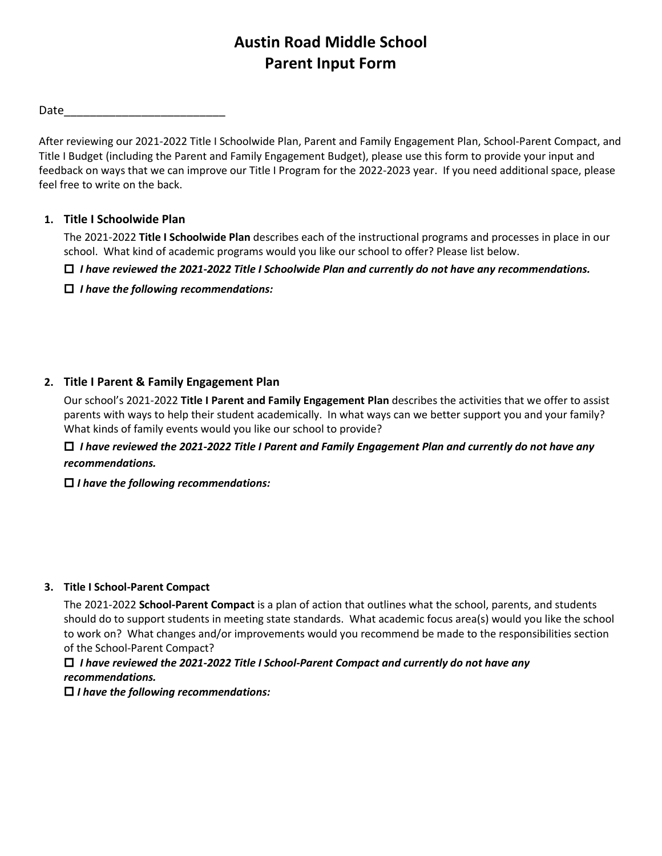# **Austin Road Middle School Parent Input Form**

Date\_\_\_\_\_\_\_\_\_\_\_\_\_\_\_\_\_\_\_\_\_\_\_\_\_

After reviewing our 2021-2022 Title I Schoolwide Plan, Parent and Family Engagement Plan, School-Parent Compact, and Title I Budget (including the Parent and Family Engagement Budget), please use this form to provide your input and feedback on ways that we can improve our Title I Program for the 2022-2023 year. If you need additional space, please feel free to write on the back.

## **1. Title I Schoolwide Plan**

The 2021-2022 **Title I Schoolwide Plan** describes each of the instructional programs and processes in place in our school. What kind of academic programs would you like our school to offer? Please list below.

*I have reviewed the 2021-2022 Title I Schoolwide Plan and currently do not have any recommendations.*

*I have the following recommendations:*

# **2. Title I Parent & Family Engagement Plan**

Our school's 2021-2022 **Title I Parent and Family Engagement Plan** describes the activities that we offer to assist parents with ways to help their student academically. In what ways can we better support you and your family? What kinds of family events would you like our school to provide?

 *I have reviewed the 2021-2022 Title I Parent and Family Engagement Plan and currently do not have any recommendations.*

*I have the following recommendations:*

### **3. Title I School-Parent Compact**

The 2021-2022 **School-Parent Compact** is a plan of action that outlines what the school, parents, and students should do to support students in meeting state standards. What academic focus area(s) would you like the school to work on? What changes and/or improvements would you recommend be made to the responsibilities section of the School-Parent Compact?

 *I have reviewed the 2021-2022 Title I School-Parent Compact and currently do not have any recommendations.*

*I have the following recommendations:*